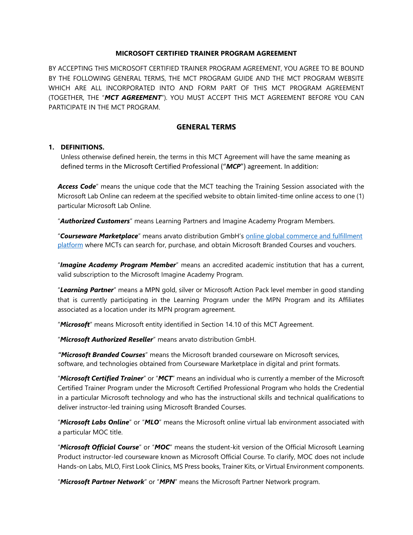#### **MICROSOFT CERTIFIED TRAINER PROGRAM AGREEMENT**

BY ACCEPTING THIS MICROSOFT CERTIFIED TRAINER PROGRAM AGREEMENT, YOU AGREE TO BE BOUND BY THE FOLLOWING GENERAL TERMS, THE MCT PROGRAM GUIDE AND THE MCT PROGRAM WEBSITE WHICH ARE ALL INCORPORATED INTO AND FORM PART OF THIS MCT PROGRAM AGREEMENT (TOGETHER, THE "*MCT AGREEMENT*"). YOU MUST ACCEPT THIS MCT AGREEMENT BEFORE YOU CAN PARTICIPATE IN THE MCT PROGRAM.

## **GENERAL TERMS**

#### **1. DEFINITIONS.**

Unless otherwise defined herein, the terms in this MCT Agreement will have the same meaning as defined terms in the Microsoft Certified Professional ("*MCP*") agreement. In addition:

*Access Code*" means the unique code that the MCT teaching the Training Session associated with the Microsoft Lab Online can redeem at the specified website to obtain limited-time online access to one (1) particular Microsoft Lab Online.

"*Authorized Customers*" means Learning Partners and Imagine Academy Program Members.

"*Courseware Marketplace*" means arvato distribution GmbH's [online global commerce and fulfillment](https://shop.courseware-marketplace.com/)  [platform](https://shop.courseware-marketplace.com/) where MCTs can search for, purchase, and obtain Microsoft Branded Courses and vouchers.

"*Imagine Academy Program Member*" means an accredited academic institution that has a current, valid subscription to the Microsoft Imagine Academy Program.

"*Learning Partner*" means a MPN gold, silver or Microsoft Action Pack level member in good standing that is currently participating in the Learning Program under the MPN Program and its Affiliates associated as a location under its MPN program agreement.

"*Microsoft*" means Microsoft entity identified in Section 14.10 of this MCT Agreement.

"*Microsoft Authorized Reseller*" means arvato distribution GmbH.

*"Microsoft Branded Courses*" means the Microsoft branded courseware on Microsoft services, software, and technologies obtained from Courseware Marketplace in digital and print formats.

"*Microsoft Certified Trainer*" or "*MCT*" means an individual who is currently a member of the Microsoft Certified Trainer Program under the Microsoft Certified Professional Program who holds the Credential in a particular Microsoft technology and who has the instructional skills and technical qualifications to deliver instructor-led training using Microsoft Branded Courses.

"*Microsoft Labs Online*" or "*MLO*" means the Microsoft online virtual lab environment associated with a particular MOC title.

"*Microsoft Official Course*" or "*MOC*" means the student-kit version of the Official Microsoft Learning Product instructor-led courseware known as Microsoft Official Course. To clarify, MOC does not include Hands-on Labs, MLO, First Look Clinics, MS Press books, Trainer Kits, or Virtual Environment components.

"*Microsoft Partner Network*" or "*MPN*" means the Microsoft Partner Network program.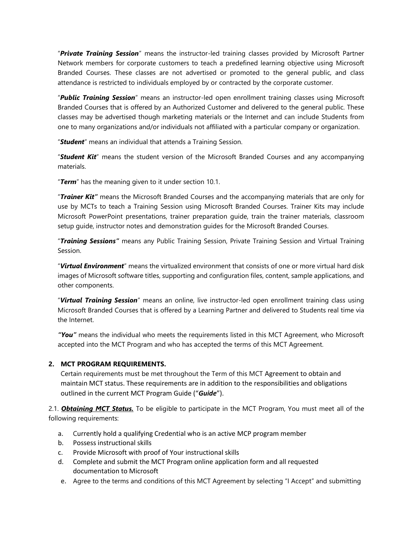"*Private Training Session*" means the instructor-led training classes provided by Microsoft Partner Network members for corporate customers to teach a predefined learning objective using Microsoft Branded Courses. These classes are not advertised or promoted to the general public, and class attendance is restricted to individuals employed by or contracted by the corporate customer.

"*Public Training Session*" means an instructor-led open enrollment training classes using Microsoft Branded Courses that is offered by an Authorized Customer and delivered to the general public. These classes may be advertised though marketing materials or the Internet and can include Students from one to many organizations and/or individuals not affiliated with a particular company or organization.

"*Student*" means an individual that attends a Training Session.

"*Student Kit*" means the student version of the Microsoft Branded Courses and any accompanying materials.

"*Term*" has the meaning given to it under section 10.1.

"*Trainer Kit"* means the Microsoft Branded Courses and the accompanying materials that are only for use by MCTs to teach a Training Session using Microsoft Branded Courses. Trainer Kits may include Microsoft PowerPoint presentations, trainer preparation guide, train the trainer materials, classroom setup guide, instructor notes and demonstration guides for the Microsoft Branded Courses.

"*Training Sessions"* means any Public Training Session, Private Training Session and Virtual Training Session.

"*Virtual Environment*" means the virtualized environment that consists of one or more virtual hard disk images of Microsoft software titles, supporting and configuration files, content, sample applications, and other components.

"*Virtual Training Session*" means an online, live instructor-led open enrollment training class using Microsoft Branded Courses that is offered by a Learning Partner and delivered to Students real time via the Internet.

*"You"* means the individual who meets the requirements listed in this MCT Agreement, who Microsoft accepted into the MCT Program and who has accepted the terms of this MCT Agreement.

## **2. MCT PROGRAM REQUIREMENTS.**

Certain requirements must be met throughout the Term of this MCT Agreement to obtain and maintain MCT status. These requirements are in addition to the responsibilities and obligations outlined in the current MCT Program Guide ("*Guide*").

2.1. *Obtaining MCT Status.* To be eligible to participate in the MCT Program, You must meet all of the following requirements:

- a. Currently hold a qualifying Credential who is an active MCP program member
- b. Possess instructional skills
- c. Provide Microsoft with proof of Your instructional skills
- d. Complete and submit the MCT Program online application form and all requested documentation to Microsoft
- e. Agree to the terms and conditions of this MCT Agreement by selecting "I Accept" and submitting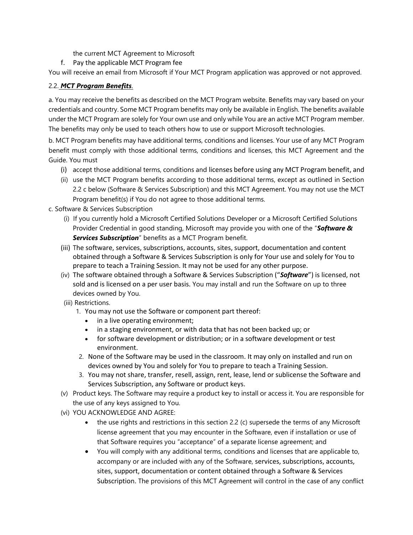the current MCT Agreement to Microsoft

f. Pay the applicable MCT Program fee

You will receive an email from Microsoft if Your MCT Program application was approved or not approved.

# 2.2. *MCT Program Benefits*.

a. You may receive the benefits as described on the MCT Program website. Benefits may vary based on your credentials and country. Some MCT Program benefits may only be available in English. The benefits available under the MCT Program are solely for Your own use and only while You are an active MCT Program member. The benefits may only be used to teach others how to use or support Microsoft technologies.

b. MCT Program benefits may have additional terms, conditions and licenses. Your use of any MCT Program benefit must comply with those additional terms, conditions and licenses, this MCT Agreement and the Guide. You must

- (i) accept those additional terms, conditions and licenses before using any MCT Program benefit, and
- (ii) use the MCT Program benefits according to those additional terms, except as outlined in Section 2.2 c below (Software & Services Subscription) and this MCT Agreement. You may not use the MCT Program benefit(s) if You do not agree to those additional terms.

c. Software & Services Subscription

- (i) If you currently hold a Microsoft Certified Solutions Developer or a Microsoft Certified Solutions Provider Credential in good standing, Microsoft may provide you with one of the "*Software & Services Subscription*" benefits as a MCT Program benefit.
- (iii) The software, services, subscriptions, accounts, sites, support, documentation and content obtained through a Software & Services Subscription is only for Your use and solely for You to prepare to teach a Training Session. It may not be used for any other purpose.
- (iv) The software obtained through a Software & Services Subscription ("*Software*") is licensed, not sold and is licensed on a per user basis. You may install and run the Software on up to three devices owned by You.
- (iii) Restrictions.
	- 1. You may not use the Software or component part thereof:
		- in a live operating environment;
		- in a staging environment, or with data that has not been backed up; or
		- for software development or distribution; or in a software development or test environment.
	- 2. None of the Software may be used in the classroom. It may only on installed and run on devices owned by You and solely for You to prepare to teach a Training Session.
	- 3. You may not share, transfer, resell, assign, rent, lease, lend or sublicense the Software and Services Subscription, any Software or product keys.
- (v) Product keys. The Software may require a product key to install or access it. You are responsible for the use of any keys assigned to You.
- (vi) YOU ACKNOWLEDGE AND AGREE:
	- $\bullet$  the use rights and restrictions in this section 2.2 (c) supersede the terms of any Microsoft license agreement that you may encounter in the Software, even if installation or use of that Software requires you "acceptance" of a separate license agreement; and
	- You will comply with any additional terms, conditions and licenses that are applicable to, accompany or are included with any of the Software, services, subscriptions, accounts, sites, support, documentation or content obtained through a Software & Services Subscription. The provisions of this MCT Agreement will control in the case of any conflict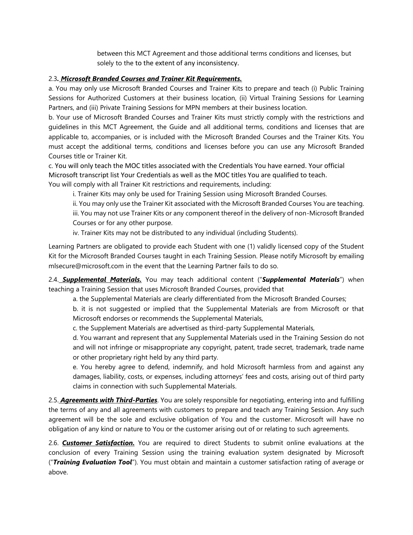between this MCT Agreement and those additional terms conditions and licenses, but solely to the to the extent of any inconsistency.

## 2.3*. Microsoft Branded Courses and Trainer Kit Requirements.*

a. You may only use Microsoft Branded Courses and Trainer Kits to prepare and teach (i) Public Training Sessions for Authorized Customers at their business location, (ii) Virtual Training Sessions for Learning Partners, and (iii) Private Training Sessions for MPN members at their business location.

b. Your use of Microsoft Branded Courses and Trainer Kits must strictly comply with the restrictions and guidelines in this MCT Agreement, the Guide and all additional terms, conditions and licenses that are applicable to, accompanies, or is included with the Microsoft Branded Courses and the Trainer Kits. You must accept the additional terms, conditions and licenses before you can use any Microsoft Branded Courses title or Trainer Kit.

c. You will only teach the MOC titles associated with the Credentials You have earned. Your official Microsoft transcript list Your Credentials as well as the MOC titles You are qualified to teach.

You will comply with all Trainer Kit restrictions and requirements, including:

i. Trainer Kits may only be used for Training Session using Microsoft Branded Courses.

ii. You may only use the Trainer Kit associated with the Microsoft Branded Courses You are teaching. iii. You may not use Trainer Kits or any component thereof in the delivery of non-Microsoft Branded Courses or for any other purpose.

iv. Trainer Kits may not be distributed to any individual (including Students).

Learning Partners are obligated to provide each Student with one (1) validly licensed copy of the Student Kit for the Microsoft Branded Courses taught in each Training Session. Please notify Microsoft by emailing mlsecure@microsoft.com in the event that the Learning Partner fails to do so.

2.4. *Supplemental Materials.* You may teach additional content ("*Supplemental Materials*") when teaching a Training Session that uses Microsoft Branded Courses, provided that

a. the Supplemental Materials are clearly differentiated from the Microsoft Branded Courses;

b. it is not suggested or implied that the Supplemental Materials are from Microsoft or that Microsoft endorses or recommends the Supplemental Materials,

c. the Supplement Materials are advertised as third-party Supplemental Materials,

d. You warrant and represent that any Supplemental Materials used in the Training Session do not and will not infringe or misappropriate any copyright, patent, trade secret, trademark, trade name or other proprietary right held by any third party.

e. You hereby agree to defend, indemnify, and hold Microsoft harmless from and against any damages, liability, costs, or expenses, including attorneys' fees and costs, arising out of third party claims in connection with such Supplemental Materials.

2.5. *Agreements with Third-Parties*. You are solely responsible for negotiating, entering into and fulfilling the terms of any and all agreements with customers to prepare and teach any Training Session. Any such agreement will be the sole and exclusive obligation of You and the customer. Microsoft will have no obligation of any kind or nature to You or the customer arising out of or relating to such agreements.

2.6. *Customer Satisfaction.* You are required to direct Students to submit online evaluations at the conclusion of every Training Session using the training evaluation system designated by Microsoft ("*Training Evaluation Tool*"). You must obtain and maintain a customer satisfaction rating of average or above.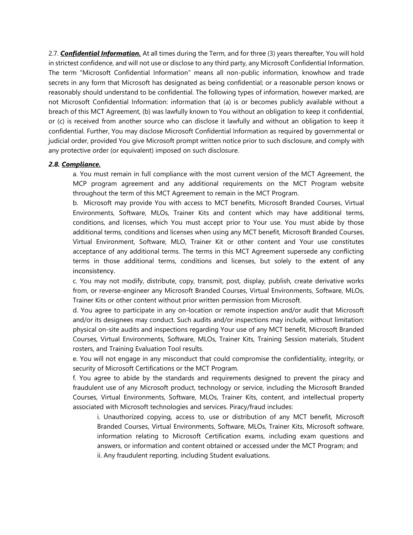2.7. *Confidential Information.* At all times during the Term, and for three (3) years thereafter, You will hold in strictest confidence, and will not use or disclose to any third party, any Microsoft Confidential Information. The term "Microsoft Confidential Information" means all non-public information, knowhow and trade secrets in any form that Microsoft has designated as being confidential; or a reasonable person knows or reasonably should understand to be confidential. The following types of information, however marked, are not Microsoft Confidential Information: information that (a) is or becomes publicly available without a breach of this MCT Agreement, (b) was lawfully known to You without an obligation to keep it confidential, or (c) is received from another source who can disclose it lawfully and without an obligation to keep it confidential. Further, You may disclose Microsoft Confidential Information as required by governmental or judicial order, provided You give Microsoft prompt written notice prior to such disclosure, and comply with any protective order (or equivalent) imposed on such disclosure.

#### *2.8. Compliance.*

a. You must remain in full compliance with the most current version of the MCT Agreement, the MCP program agreement and any additional requirements on the MCT Program website throughout the term of this MCT Agreement to remain in the MCT Program.

b. Microsoft may provide You with access to MCT benefits, Microsoft Branded Courses, Virtual Environments, Software, MLOs, Trainer Kits and content which may have additional terms, conditions, and licenses, which You must accept prior to Your use. You must abide by those additional terms, conditions and licenses when using any MCT benefit, Microsoft Branded Courses, Virtual Environment, Software, MLO, Trainer Kit or other content and Your use constitutes acceptance of any additional terms. The terms in this MCT Agreement supersede any conflicting terms in those additional terms, conditions and licenses, but solely to the extent of any inconsistency.

c. You may not modify, distribute, copy, transmit, post, display, publish, create derivative works from, or reverse-engineer any Microsoft Branded Courses, Virtual Environments, Software, MLOs, Trainer Kits or other content without prior written permission from Microsoft.

d. You agree to participate in any on-location or remote inspection and/or audit that Microsoft and/or its designees may conduct. Such audits and/or inspections may include, without limitation: physical on-site audits and inspections regarding Your use of any MCT benefit, Microsoft Branded Courses, Virtual Environments, Software, MLOs, Trainer Kits, Training Session materials, Student rosters, and Training Evaluation Tool results.

e. You will not engage in any misconduct that could compromise the confidentiality, integrity, or security of Microsoft Certifications or the MCT Program.

f. You agree to abide by the standards and requirements designed to prevent the piracy and fraudulent use of any Microsoft product, technology or service, including the Microsoft Branded Courses, Virtual Environments, Software, MLOs, Trainer Kits, content, and intellectual property associated with Microsoft technologies and services. Piracy/fraud includes:

i. Unauthorized copying, access to, use or distribution of any MCT benefit, Microsoft Branded Courses, Virtual Environments, Software, MLOs, Trainer Kits, Microsoft software, information relating to Microsoft Certification exams, including exam questions and answers, or information and content obtained or accessed under the MCT Program; and ii. Any fraudulent reporting, including Student evaluations.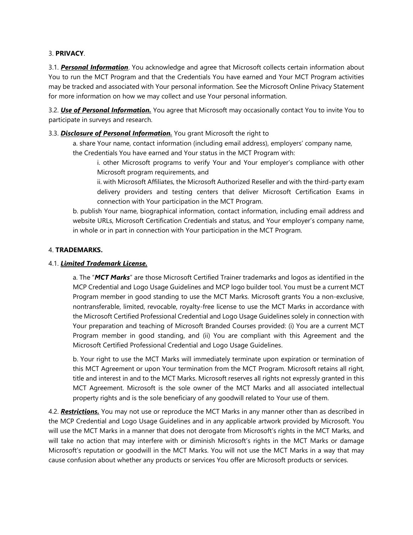## 3. **PRIVACY**.

3.1. *Personal Information*. You acknowledge and agree that Microsoft collects certain information about You to run the MCT Program and that the Credentials You have earned and Your MCT Program activities may be tracked and associated with Your personal information. See the Microsoft Online Privacy Statement for more information on how we may collect and use Your personal information.

3.2. *Use of Personal Information.* You agree that Microsoft may occasionally contact You to invite You to participate in surveys and research.

## 3.3. *Disclosure of Personal Information.* You grant Microsoft the right to

a. share Your name, contact information (including email address), employers' company name, the Credentials You have earned and Your status in the MCT Program with:

i. other Microsoft programs to verify Your and Your employer's compliance with other Microsoft program requirements, and

ii. with Microsoft Affiliates, the Microsoft Authorized Reseller and with the third-party exam delivery providers and testing centers that deliver Microsoft Certification Exams in connection with Your participation in the MCT Program.

b. publish Your name, biographical information, contact information, including email address and website URLs, Microsoft Certification Credentials and status, and Your employer's company name, in whole or in part in connection with Your participation in the MCT Program.

## 4. **TRADEMARKS.**

## 4.1. *Limited Trademark License.*

a. The "*MCT Marks*" are those Microsoft Certified Trainer trademarks and logos as identified in the MCP Credential and Logo Usage Guidelines and MCP logo builder tool. You must be a current MCT Program member in good standing to use the MCT Marks. Microsoft grants You a non-exclusive, nontransferable, limited, revocable, royalty-free license to use the MCT Marks in accordance with the Microsoft Certified Professional Credential and Logo Usage Guidelines solely in connection with Your preparation and teaching of Microsoft Branded Courses provided: (i) You are a current MCT Program member in good standing, and (ii) You are compliant with this Agreement and the Microsoft Certified Professional Credential and Logo Usage Guidelines.

b. Your right to use the MCT Marks will immediately terminate upon expiration or termination of this MCT Agreement or upon Your termination from the MCT Program. Microsoft retains all right, title and interest in and to the MCT Marks. Microsoft reserves all rights not expressly granted in this MCT Agreement. Microsoft is the sole owner of the MCT Marks and all associated intellectual property rights and is the sole beneficiary of any goodwill related to Your use of them.

4.2. *Restrictions.* You may not use or reproduce the MCT Marks in any manner other than as described in the MCP Credential and Logo Usage Guidelines and in any applicable artwork provided by Microsoft. You will use the MCT Marks in a manner that does not derogate from Microsoft's rights in the MCT Marks, and will take no action that may interfere with or diminish Microsoft's rights in the MCT Marks or damage Microsoft's reputation or goodwill in the MCT Marks. You will not use the MCT Marks in a way that may cause confusion about whether any products or services You offer are Microsoft products or services.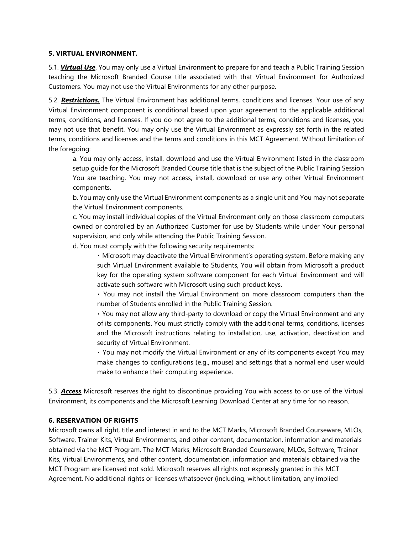#### **5. VIRTUAL ENVIRONMENT.**

5.1. *Virtual Use*. You may only use a Virtual Environment to prepare for and teach a Public Training Session teaching the Microsoft Branded Course title associated with that Virtual Environment for Authorized Customers. You may not use the Virtual Environments for any other purpose.

5.2. *Restrictions.* The Virtual Environment has additional terms, conditions and licenses. Your use of any Virtual Environment component is conditional based upon your agreement to the applicable additional terms, conditions, and licenses. If you do not agree to the additional terms, conditions and licenses, you may not use that benefit. You may only use the Virtual Environment as expressly set forth in the related terms, conditions and licenses and the terms and conditions in this MCT Agreement. Without limitation of the foregoing:

a. You may only access, install, download and use the Virtual Environment listed in the classroom setup guide for the Microsoft Branded Course title that is the subject of the Public Training Session You are teaching. You may not access, install, download or use any other Virtual Environment components.

b. You may only use the Virtual Environment components as a single unit and You may not separate the Virtual Environment components.

c. You may install individual copies of the Virtual Environment only on those classroom computers owned or controlled by an Authorized Customer for use by Students while under Your personal supervision, and only while attending the Public Training Session.

d. You must comply with the following security requirements:

Microsoft may deactivate the Virtual Environment's operating system. Before making any such Virtual Environment available to Students, You will obtain from Microsoft a product key for the operating system software component for each Virtual Environment and will activate such software with Microsoft using such product keys.

You may not install the Virtual Environment on more classroom computers than the number of Students enrolled in the Public Training Session.

You may not allow any third-party to download or copy the Virtual Environment and any of its components. You must strictly comply with the additional terms, conditions, licenses and the Microsoft instructions relating to installation, use, activation, deactivation and security of Virtual Environment.

You may not modify the Virtual Environment or any of its components except You may make changes to configurations (e.g., mouse) and settings that a normal end user would make to enhance their computing experience.

5.3. *Access* Microsoft reserves the right to discontinue providing You with access to or use of the Virtual Environment, its components and the Microsoft Learning Download Center at any time for no reason.

## **6. RESERVATION OF RIGHTS**

Microsoft owns all right, title and interest in and to the MCT Marks, Microsoft Branded Courseware, MLOs, Software, Trainer Kits, Virtual Environments, and other content, documentation, information and materials obtained via the MCT Program. The MCT Marks, Microsoft Branded Courseware, MLOs, Software, Trainer Kits, Virtual Environments, and other content, documentation, information and materials obtained via the MCT Program are licensed not sold. Microsoft reserves all rights not expressly granted in this MCT Agreement. No additional rights or licenses whatsoever (including, without limitation, any implied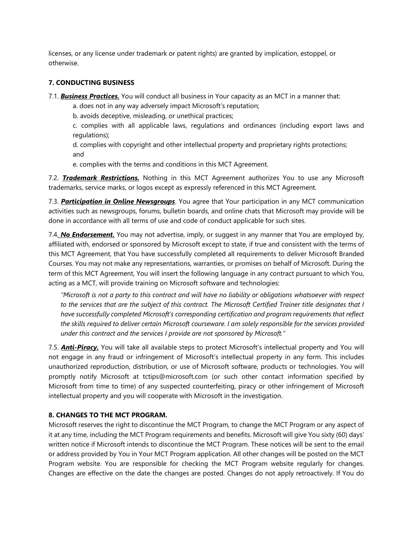licenses, or any license under trademark or patent rights) are granted by implication, estoppel, or otherwise.

## **7. CONDUCTING BUSINESS**

7.1. *Business Practices.* You will conduct all business in Your capacity as an MCT in a manner that:

a. does not in any way adversely impact Microsoft's reputation;

b. avoids deceptive, misleading, or unethical practices;

c. complies with all applicable laws, regulations and ordinances (including export laws and regulations);

d. complies with copyright and other intellectual property and proprietary rights protections; and

e. complies with the terms and conditions in this MCT Agreement.

7.2. *Trademark Restrictions.* Nothing in this MCT Agreement authorizes You to use any Microsoft trademarks, service marks, or logos except as expressly referenced in this MCT Agreement.

7.3. *Participation in Online Newsgroups*. You agree that Your participation in any MCT communication activities such as newsgroups, forums, bulletin boards, and online chats that Microsoft may provide will be done in accordance with all terms of use and code of conduct applicable for such sites.

7.4. *No Endorsement.* You may not advertise, imply, or suggest in any manner that You are employed by, affiliated with, endorsed or sponsored by Microsoft except to state, if true and consistent with the terms of this MCT Agreement, that You have successfully completed all requirements to deliver Microsoft Branded Courses. You may not make any representations, warranties, or promises on behalf of Microsoft. During the term of this MCT Agreement, You will insert the following language in any contract pursuant to which You, acting as a MCT, will provide training on Microsoft software and technologies:

*"Microsoft is not a party to this contract and will have no liability or obligations whatsoever with respect to the services that are the subject of this contract. The Microsoft Certified Trainer title designates that I have successfully completed Microsoft's corresponding certification and program requirements that reflect the skills required to deliver certain Microsoft courseware. I am solely responsible for the services provided under this contract and the services I provide are not sponsored by Microsoft."*

7.5. *Anti-Piracy.* You will take all available steps to protect Microsoft's intellectual property and You will not engage in any fraud or infringement of Microsoft's intellectual property in any form. This includes unauthorized reproduction, distribution, or use of Microsoft software, products or technologies. You will promptly notify Microsoft at tctips@microsoft.com (or such other contact information specified by Microsoft from time to time) of any suspected counterfeiting, piracy or other infringement of Microsoft intellectual property and you will cooperate with Microsoft in the investigation.

## **8. CHANGES TO THE MCT PROGRAM.**

Microsoft reserves the right to discontinue the MCT Program, to change the MCT Program or any aspect of it at any time, including the MCT Program requirements and benefits. Microsoft will give You sixty (60) days' written notice if Microsoft intends to discontinue the MCT Program. These notices will be sent to the email or address provided by You in Your MCT Program application. All other changes will be posted on the MCT Program website. You are responsible for checking the MCT Program website regularly for changes. Changes are effective on the date the changes are posted. Changes do not apply retroactively. If You do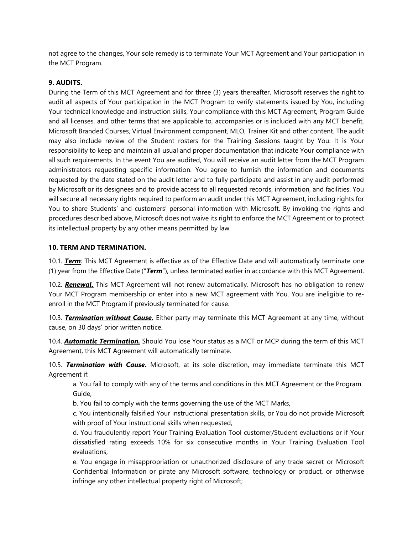not agree to the changes, Your sole remedy is to terminate Your MCT Agreement and Your participation in the MCT Program.

#### **9. AUDITS.**

During the Term of this MCT Agreement and for three (3) years thereafter, Microsoft reserves the right to audit all aspects of Your participation in the MCT Program to verify statements issued by You, including Your technical knowledge and instruction skills, Your compliance with this MCT Agreement, Program Guide and all licenses, and other terms that are applicable to, accompanies or is included with any MCT benefit, Microsoft Branded Courses, Virtual Environment component, MLO, Trainer Kit and other content. The audit may also include review of the Student rosters for the Training Sessions taught by You. It is Your responsibility to keep and maintain all usual and proper documentation that indicate Your compliance with all such requirements. In the event You are audited, You will receive an audit letter from the MCT Program administrators requesting specific information. You agree to furnish the information and documents requested by the date stated on the audit letter and to fully participate and assist in any audit performed by Microsoft or its designees and to provide access to all requested records, information, and facilities. You will secure all necessary rights required to perform an audit under this MCT Agreement, including rights for You to share Students' and customers' personal information with Microsoft. By invoking the rights and procedures described above, Microsoft does not waive its right to enforce the MCT Agreement or to protect its intellectual property by any other means permitted by law.

#### **10. TERM AND TERMINATION.**

10.1. *Term*: This MCT Agreement is effective as of the Effective Date and will automatically terminate one (1) year from the Effective Date ("*Term*"), unless terminated earlier in accordance with this MCT Agreement.

10.2. *Renewal.* This MCT Agreement will not renew automatically. Microsoft has no obligation to renew Your MCT Program membership or enter into a new MCT agreement with You. You are ineligible to reenroll in the MCT Program if previously terminated for cause.

10.3. *Termination without Cause.* Either party may terminate this MCT Agreement at any time, without cause, on 30 days' prior written notice.

10.4. *Automatic Termination.* Should You lose Your status as a MCT or MCP during the term of this MCT Agreement, this MCT Agreement will automatically terminate.

10.5. *Termination with Cause.* Microsoft, at its sole discretion, may immediate terminate this MCT Agreement if:

a. You fail to comply with any of the terms and conditions in this MCT Agreement or the Program Guide,

b. You fail to comply with the terms governing the use of the MCT Marks,

c. You intentionally falsified Your instructional presentation skills, or You do not provide Microsoft with proof of Your instructional skills when requested,

d. You fraudulently report Your Training Evaluation Tool customer/Student evaluations or if Your dissatisfied rating exceeds 10% for six consecutive months in Your Training Evaluation Tool evaluations,

e. You engage in misappropriation or unauthorized disclosure of any trade secret or Microsoft Confidential Information or pirate any Microsoft software, technology or product, or otherwise infringe any other intellectual property right of Microsoft;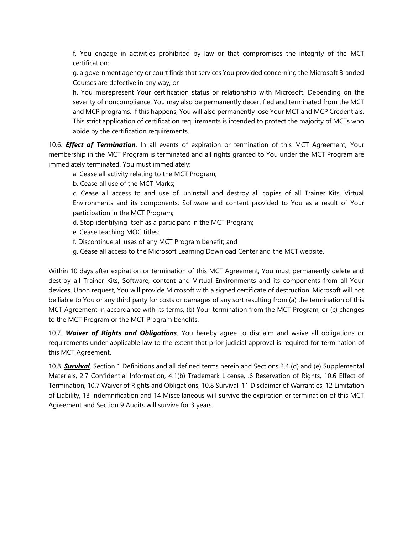f. You engage in activities prohibited by law or that compromises the integrity of the MCT certification;

g. a government agency or court finds that services You provided concerning the Microsoft Branded Courses are defective in any way, or

h. You misrepresent Your certification status or relationship with Microsoft. Depending on the severity of noncompliance, You may also be permanently decertified and terminated from the MCT and MCP programs. If this happens, You will also permanently lose Your MCT and MCP Credentials. This strict application of certification requirements is intended to protect the majority of MCTs who abide by the certification requirements.

10.6. *Effect of Termination*. In all events of expiration or termination of this MCT Agreement, Your membership in the MCT Program is terminated and all rights granted to You under the MCT Program are immediately terminated. You must immediately:

a. Cease all activity relating to the MCT Program;

b. Cease all use of the MCT Marks;

c. Cease all access to and use of, uninstall and destroy all copies of all Trainer Kits, Virtual Environments and its components, Software and content provided to You as a result of Your participation in the MCT Program;

- d. Stop identifying itself as a participant in the MCT Program;
- e. Cease teaching MOC titles;
- f. Discontinue all uses of any MCT Program benefit; and
- g. Cease all access to the Microsoft Learning Download Center and the MCT website.

Within 10 days after expiration or termination of this MCT Agreement, You must permanently delete and destroy all Trainer Kits, Software, content and Virtual Environments and its components from all Your devices. Upon request, You will provide Microsoft with a signed certificate of destruction. Microsoft will not be liable to You or any third party for costs or damages of any sort resulting from (a) the termination of this MCT Agreement in accordance with its terms, (b) Your termination from the MCT Program, or (c) changes to the MCT Program or the MCT Program benefits.

10.7. *Waiver of Rights and Obligations*. You hereby agree to disclaim and waive all obligations or requirements under applicable law to the extent that prior judicial approval is required for termination of this MCT Agreement.

10.8. *Survival*. Section 1 Definitions and all defined terms herein and Sections 2.4 (d) and (e) Supplemental Materials, 2.7 Confidential Information, 4.1(b) Trademark License, .6 Reservation of Rights, 10.6 Effect of Termination, 10.7 Waiver of Rights and Obligations, 10.8 Survival, 11 Disclaimer of Warranties, 12 Limitation of Liability, 13 Indemnification and 14 Miscellaneous will survive the expiration or termination of this MCT Agreement and Section 9 Audits will survive for 3 years.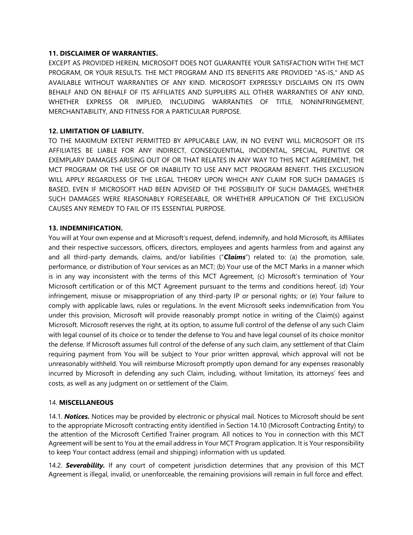## **11. DISCLAIMER OF WARRANTIES.**

EXCEPT AS PROVIDED HEREIN, MICROSOFT DOES NOT GUARANTEE YOUR SATISFACTION WITH THE MCT PROGRAM, OR YOUR RESULTS. THE MCT PROGRAM AND ITS BENEFITS ARE PROVIDED "AS-IS," AND AS AVAILABLE WITHOUT WARRANTIES OF ANY KIND. MICROSOFT EXPRESSLY DISCLAIMS ON ITS OWN BEHALF AND ON BEHALF OF ITS AFFILIATES AND SUPPLIERS ALL OTHER WARRANTIES OF ANY KIND, WHETHER EXPRESS OR IMPLIED, INCLUDING WARRANTIES OF TITLE, NONINFRINGEMENT, MERCHANTABILITY, AND FITNESS FOR A PARTICULAR PURPOSE.

## **12. LIMITATION OF LIABILITY.**

TO THE MAXIMUM EXTENT PERMITTED BY APPLICABLE LAW, IN NO EVENT WILL MICROSOFT OR ITS AFFILIATES BE LIABLE FOR ANY INDIRECT, CONSEQUENTIAL, INCIDENTAL, SPECIAL, PUNITIVE OR EXEMPLARY DAMAGES ARISING OUT OF OR THAT RELATES IN ANY WAY TO THIS MCT AGREEMENT, THE MCT PROGRAM OR THE USE OF OR INABILITY TO USE ANY MCT PROGRAM BENEFIT. THIS EXCLUSION WILL APPLY REGARDLESS OF THE LEGAL THEORY UPON WHICH ANY CLAIM FOR SUCH DAMAGES IS BASED, EVEN IF MICROSOFT HAD BEEN ADVISED OF THE POSSIBILITY OF SUCH DAMAGES, WHETHER SUCH DAMAGES WERE REASONABLY FORESEEABLE, OR WHETHER APPLICATION OF THE EXCLUSION CAUSES ANY REMEDY TO FAIL OF ITS ESSENTIAL PURPOSE.

## **13. INDEMNIFICATION.**

You will at Your own expense and at Microsoft's request, defend, indemnify, and hold Microsoft, its Affiliates and their respective successors, officers, directors, employees and agents harmless from and against any and all third-party demands, claims, and/or liabilities ("*Claims*") related to: (a) the promotion, sale, performance, or distribution of Your services as an MCT; (b) Your use of the MCT Marks in a manner which is in any way inconsistent with the terms of this MCT Agreement, (c) Microsoft's termination of Your Microsoft certification or of this MCT Agreement pursuant to the terms and conditions hereof, (d) Your infringement, misuse or misappropriation of any third-party IP or personal rights; or (e) Your failure to comply with applicable laws, rules or regulations. In the event Microsoft seeks indemnification from You under this provision, Microsoft will provide reasonably prompt notice in writing of the Claim(s) against Microsoft. Microsoft reserves the right, at its option, to assume full control of the defense of any such Claim with legal counsel of its choice or to tender the defense to You and have legal counsel of its choice monitor the defense. If Microsoft assumes full control of the defense of any such claim, any settlement of that Claim requiring payment from You will be subject to Your prior written approval, which approval will not be unreasonably withheld. You will reimburse Microsoft promptly upon demand for any expenses reasonably incurred by Microsoft in defending any such Claim, including, without limitation, its attorneys' fees and costs, as well as any judgment on or settlement of the Claim.

## 14. **MISCELLANEOUS**

14.1. *Notices.* Notices may be provided by electronic or physical mail. Notices to Microsoft should be sent to the appropriate Microsoft contracting entity identified in Section 14.10 (Microsoft Contracting Entity) to the attention of the Microsoft Certified Trainer program. All notices to You in connection with this MCT Agreement will be sent to You at the email address in Your MCT Program application. It is Your responsibility to keep Your contact address (email and shipping) information with us updated.

14.2. *Severability.* If any court of competent jurisdiction determines that any provision of this MCT Agreement is illegal, invalid, or unenforceable, the remaining provisions will remain in full force and effect.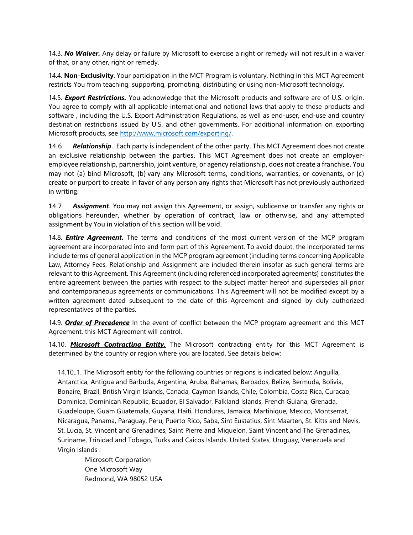14.3. *No Waiver.* Any delay or failure by Microsoft to exercise a right or remedy will not result in a waiver of that, or any other, right or remedy.

14.4. **Non-Exclusivity**. Your participation in the MCT Program is voluntary. Nothing in this MCT Agreement restricts You from teaching, supporting, promoting, distributing or using non-Microsoft technology.

14.5. *Export Restrictions.* You acknowledge that the Microsoft products and software are of U.S. origin. You agree to comply with all applicable international and national laws that apply to these products and software , including the U.S. Export Administration Regulations, as well as end-user, end-use and country destination restrictions issued by U.S. and other governments. For additional information on exporting Microsoft products, see [http://www.microsoft.com/exporting/.](http://www.microsoft.com/exporting/)

14.6 *Relationship*. Each party is independent of the other party. This MCT Agreement does not create an exclusive relationship between the parties. This MCT Agreement does not create an employeremployee relationship, partnership, joint venture, or agency relationship, does not create a franchise. You may not (a) bind Microsoft, (b) vary any Microsoft terms, conditions, warranties, or covenants, or (c) create or purport to create in favor of any person any rights that Microsoft has not previously authorized in writing.

14.7 *Assignment*. You may not assign this Agreement, or assign, sublicense or transfer any rights or obligations hereunder, whether by operation of contract, law or otherwise, and any attempted assignment by You in violation of this section will be void.

14.8. *Entire Agreement.* The terms and conditions of the most current version of the MCP program agreement are incorporated into and form part of this Agreement. To avoid doubt, the incorporated terms include terms of general application in the MCP program agreement (including terms concerning Applicable Law, Attorney Fees, Relationship and Assignment are included therein insofar as such general terms are relevant to this Agreement. This Agreement (including referenced incorporated agreements) constitutes the entire agreement between the parties with respect to the subject matter hereof and supersedes all prior and contemporaneous agreements or communications. This Agreement will not be modified except by a written agreement dated subsequent to the date of this Agreement and signed by duly authorized representatives of the parties.

14.9. *Order of Precedence* In the event of conflict between the MCP program agreement and this MCT Agreement, this MCT Agreement will control.

14.10. *Microsoft Contracting Entity.* The Microsoft contracting entity for this MCT Agreement is determined by the country or region where you are located. See details below:

14.10..1. The Microsoft entity for the following countries or regions is indicated below: Anguilla, Antarctica, Antigua and Barbuda, Argentina, Aruba, Bahamas, Barbados, Belize, Bermuda, Bolivia, Bonaire, Brazil, British Virgin Islands, Canada, Cayman Islands, Chile, Colombia, Costa Rica, Curacao, Dominica, Dominican Republic, Ecuador, El Salvador, Falkland Islands, French Guiana, Grenada, Guadeloupe, Guam Guatemala, Guyana, Haiti, Honduras, Jamaica, Martinique, Mexico, Montserrat, Nicaragua, Panama, Paraguay, Peru, Puerto Rico, Saba, Sint Eustatius, Sint Maarten, St. Kitts and Nevis, St. Lucia, St. Vincent and Grenadines, Saint Pierre and Miquelon, Saint Vincent and The Grenadines, Suriname, Trinidad and Tobago, Turks and Caicos Islands, United States, Uruguay, Venezuela and Virgin Islands :

Microsoft Corporation One Microsoft Way Redmond, WA 98052 USA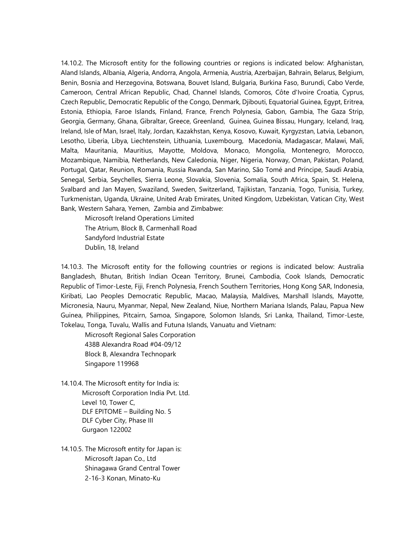14.10.2. The Microsoft entity for the following countries or regions is indicated below: Afghanistan, Aland Islands, Albania, Algeria, Andorra, Angola, Armenia, Austria, Azerbaijan, Bahrain, Belarus, Belgium, Benin, Bosnia and Herzegovina, Botswana, Bouvet Island, Bulgaria, Burkina Faso, Burundi, Cabo Verde, Cameroon, Central African Republic, Chad, Channel Islands, Comoros, Côte d'Ivoire Croatia, Cyprus, Czech Republic, Democratic Republic of the Congo, Denmark, Djibouti, Equatorial Guinea, Egypt, Eritrea, Estonia, Ethiopia, Faroe Islands, Finland, France, French Polynesia, Gabon, Gambia, The Gaza Strip, Georgia, Germany, Ghana, Gibraltar, Greece, Greenland, Guinea, Guinea Bissau, Hungary, Iceland, Iraq, Ireland, Isle of Man, Israel, Italy, Jordan, Kazakhstan, Kenya, Kosovo, Kuwait, Kyrgyzstan, Latvia, Lebanon, Lesotho, Liberia, Libya, Liechtenstein, Lithuania, Luxembourg, Macedonia, Madagascar, Malawi, Mali, Malta, Mauritania, Mauritius, Mayotte, Moldova, Monaco, Mongolia, Montenegro, Morocco, Mozambique, Namibia, Netherlands, New Caledonia, Niger, Nigeria, Norway, Oman, Pakistan, Poland, Portugal, Qatar, Reunion, Romania, Russia Rwanda, San Marino, São Tomé and Príncipe, Saudi Arabia, Senegal, Serbia, Seychelles, Sierra Leone, Slovakia, Slovenia, Somalia, South Africa, Spain, St. Helena, Svalbard and Jan Mayen, Swaziland, Sweden, Switzerland, Tajikistan, Tanzania, Togo, Tunisia, Turkey, Turkmenistan, Uganda, Ukraine, United Arab Emirates, United Kingdom, Uzbekistan, Vatican City, West Bank, Western Sahara, Yemen, Zambia and Zimbabwe:

Microsoft Ireland Operations Limited The Atrium, Block B, Carmenhall Road Sandyford Industrial Estate Dublin, 18, Ireland

14.10.3. The Microsoft entity for the following countries or regions is indicated below: Australia Bangladesh, Bhutan, British Indian Ocean Territory, Brunei, Cambodia, Cook Islands, Democratic Republic of Timor-Leste, Fiji, French Polynesia, French Southern Territories, Hong Kong SAR, Indonesia, Kiribati, Lao Peoples Democratic Republic, Macao, Malaysia, Maldives, Marshall Islands, Mayotte, Micronesia, Nauru, Myanmar, Nepal, New Zealand, Niue, Northern Mariana Islands, Palau, Papua New Guinea, Philippines, Pitcairn, Samoa, Singapore, Solomon Islands, Sri Lanka, Thailand, Timor-Leste, Tokelau, Tonga, Tuvalu, Wallis and Futuna Islands, Vanuatu and Vietnam:

Microsoft Regional Sales Corporation 438B Alexandra Road #04-09/12 Block B, Alexandra Technopark Singapore 119968

14.10.4. The Microsoft entity for India is: Microsoft Corporation India Pvt. Ltd. Level 10, Tower C, DLF EPITOME – Building No. 5 DLF Cyber City, Phase III Gurgaon 122002

14.10.5. The Microsoft entity for Japan is: Microsoft Japan Co., Ltd Shinagawa Grand Central Tower 2-16-3 Konan, Minato-Ku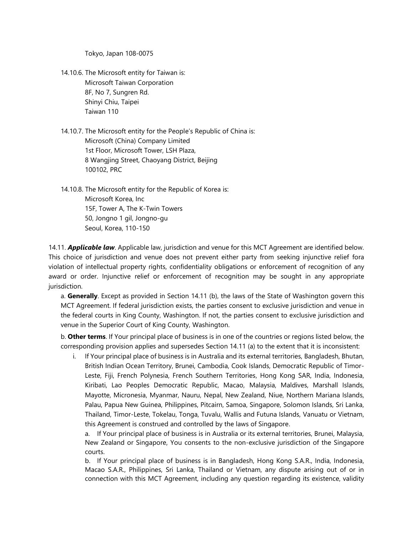Tokyo, Japan 108-0075

- 14.10.6. The Microsoft entity for Taiwan is: Microsoft Taiwan Corporation 8F, No 7, Sungren Rd. Shinyi Chiu, Taipei Taiwan 110
- 14.10.7. The Microsoft entity for the People's Republic of China is: Microsoft (China) Company Limited 1st Floor, Microsoft Tower, LSH Plaza, 8 Wangjing Street, Chaoyang District, Beijing 100102, PRC
- 14.10.8. The Microsoft entity for the Republic of Korea is: Microsoft Korea, Inc 15F, Tower A, The K-Twin Towers 50, Jongno 1 gil, Jongno-gu Seoul, Korea, 110-150

14.11. *Applicable law*. Applicable law, jurisdiction and venue for this MCT Agreement are identified below. This choice of jurisdiction and venue does not prevent either party from seeking injunctive relief fora violation of intellectual property rights, confidentiality obligations or enforcement of recognition of any award or order. Injunctive relief or enforcement of recognition may be sought in any appropriate jurisdiction.

a. **Generally**. Except as provided in Section 14.11 (b), the laws of the State of Washington govern this MCT Agreement. If federal jurisdiction exists, the parties consent to exclusive jurisdiction and venue in the federal courts in King County, Washington. If not, the parties consent to exclusive jurisdiction and venue in the Superior Court of King County, Washington.

b. **Other terms**. If Your principal place of business is in one of the countries or regions listed below, the corresponding provision applies and supersedes Section 14.11 (a) to the extent that it is inconsistent:

i. If Your principal place of business is in Australia and its external territories, Bangladesh, Bhutan, British Indian Ocean Territory, Brunei, Cambodia, Cook Islands, Democratic Republic of Timor-Leste, Fiji, French Polynesia, French Southern Territories, Hong Kong SAR, India, Indonesia, Kiribati, Lao Peoples Democratic Republic, Macao, Malaysia, Maldives, Marshall Islands, Mayotte, Micronesia, Myanmar, Nauru, Nepal, New Zealand, Niue, Northern Mariana Islands, Palau, Papua New Guinea, Philippines, Pitcairn, Samoa, Singapore, Solomon Islands, Sri Lanka, Thailand, Timor-Leste, Tokelau, Tonga, Tuvalu, Wallis and Futuna Islands, Vanuatu or Vietnam, this Agreement is construed and controlled by the laws of Singapore.

a. If Your principal place of business is in Australia or its external territories, Brunei, Malaysia, New Zealand or Singapore, You consents to the non-exclusive jurisdiction of the Singapore courts.

b. If Your principal place of business is in Bangladesh, Hong Kong S.A.R., India, Indonesia, Macao S.A.R., Philippines, Sri Lanka, Thailand or Vietnam, any dispute arising out of or in connection with this MCT Agreement, including any question regarding its existence, validity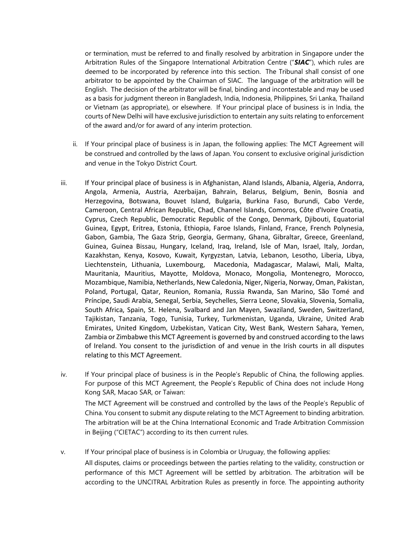or termination, must be referred to and finally resolved by arbitration in Singapore under the Arbitration Rules of the Singapore International Arbitration Centre ("*SIAC*"), which rules are deemed to be incorporated by reference into this section. The Tribunal shall consist of one arbitrator to be appointed by the Chairman of SIAC. The language of the arbitration will be English. The decision of the arbitrator will be final, binding and incontestable and may be used as a basis for judgment thereon in Bangladesh, India, Indonesia, Philippines, Sri Lanka, Thailand or Vietnam (as appropriate), or elsewhere. If Your principal place of business is in India, the courts of New Delhi will have exclusive jurisdiction to entertain any suits relating to enforcement of the award and/or for award of any interim protection.

- ii. If Your principal place of business is in Japan, the following applies: The MCT Agreement will be construed and controlled by the laws of Japan. You consent to exclusive original jurisdiction and venue in the Tokyo District Court.
- iii. If Your principal place of business is in Afghanistan, Aland Islands, Albania, Algeria, Andorra, Angola, Armenia, Austria, Azerbaijan, Bahrain, Belarus, Belgium, Benin, Bosnia and Herzegovina, Botswana, Bouvet Island, Bulgaria, Burkina Faso, Burundi, Cabo Verde, Cameroon, Central African Republic, Chad, Channel Islands, Comoros, Côte d'Ivoire Croatia, Cyprus, Czech Republic, Democratic Republic of the Congo, Denmark, Djibouti, Equatorial Guinea, Egypt, Eritrea, Estonia, Ethiopia, Faroe Islands, Finland, France, French Polynesia, Gabon, Gambia, The Gaza Strip, Georgia, Germany, Ghana, Gibraltar, Greece, Greenland, Guinea, Guinea Bissau, Hungary, Iceland, Iraq, Ireland, Isle of Man, Israel, Italy, Jordan, Kazakhstan, Kenya, Kosovo, Kuwait, Kyrgyzstan, Latvia, Lebanon, Lesotho, Liberia, Libya, Liechtenstein, Lithuania, Luxembourg, Macedonia, Madagascar, Malawi, Mali, Malta, Mauritania, Mauritius, Mayotte, Moldova, Monaco, Mongolia, Montenegro, Morocco, Mozambique, Namibia, Netherlands, New Caledonia, Niger, Nigeria, Norway, Oman, Pakistan, Poland, Portugal, Qatar, Reunion, Romania, Russia Rwanda, San Marino, São Tomé and Príncipe, Saudi Arabia, Senegal, Serbia, Seychelles, Sierra Leone, Slovakia, Slovenia, Somalia, South Africa, Spain, St. Helena, Svalbard and Jan Mayen, Swaziland, Sweden, Switzerland, Tajikistan, Tanzania, Togo, Tunisia, Turkey, Turkmenistan, Uganda, Ukraine, United Arab Emirates, United Kingdom, Uzbekistan, Vatican City, West Bank, Western Sahara, Yemen, Zambia or Zimbabwe this MCT Agreement is governed by and construed according to the laws of Ireland. You consent to the jurisdiction of and venue in the Irish courts in all disputes relating to this MCT Agreement.
- iv. If Your principal place of business is in the People's Republic of China, the following applies. For purpose of this MCT Agreement, the People's Republic of China does not include Hong Kong SAR, Macao SAR, or Taiwan:

The MCT Agreement will be construed and controlled by the laws of the People's Republic of China. You consent to submit any dispute relating to the MCT Agreement to binding arbitration. The arbitration will be at the China International Economic and Trade Arbitration Commission in Beijing ("CIETAC") according to its then current rules.

v. If Your principal place of business is in Colombia or Uruguay, the following applies: All disputes, claims or proceedings between the parties relating to the validity, construction or performance of this MCT Agreement will be settled by arbitration. The arbitration will be according to the UNCITRAL Arbitration Rules as presently in force. The appointing authority